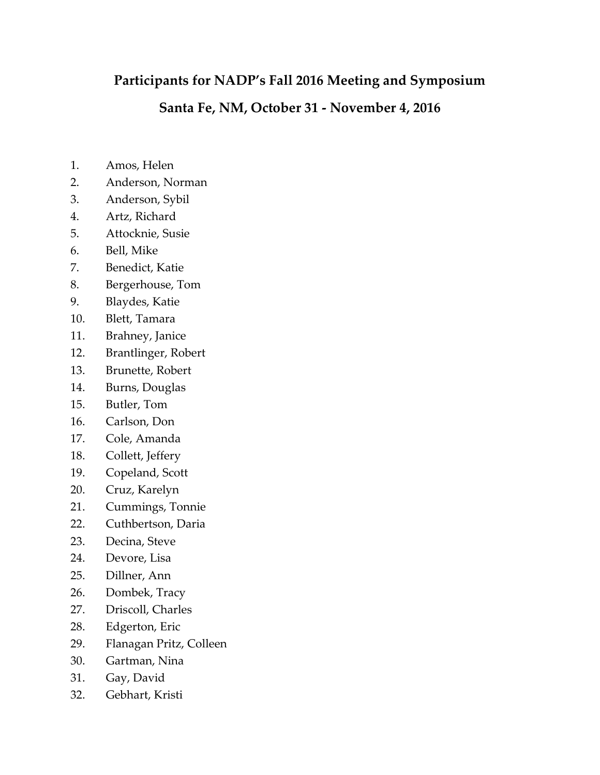## **Participants for NADP's Fall 2016 Meeting and Symposium**

## **Santa Fe, NM, October 31 - November 4, 2016**

- 1. Amos, Helen
- 2. Anderson, Norman
- 3. Anderson, Sybil
- 4. Artz, Richard
- 5. Attocknie, Susie
- 6. Bell, Mike
- 7. Benedict, Katie
- 8. Bergerhouse, Tom
- 9. Blaydes, Katie
- 10. Blett, Tamara
- 11. Brahney, Janice
- 12. Brantlinger, Robert
- 13. Brunette, Robert
- 14. Burns, Douglas
- 15. Butler, Tom
- 16. Carlson, Don
- 17. Cole, Amanda
- 18. Collett, Jeffery
- 19. Copeland, Scott
- 20. Cruz, Karelyn
- 21. Cummings, Tonnie
- 22. Cuthbertson, Daria
- 23. Decina, Steve
- 24. Devore, Lisa
- 25. Dillner, Ann
- 26. Dombek, Tracy
- 27. Driscoll, Charles
- 28. Edgerton, Eric
- 29. Flanagan Pritz, Colleen
- 30. Gartman, Nina
- 31. Gay, David
- 32. Gebhart, Kristi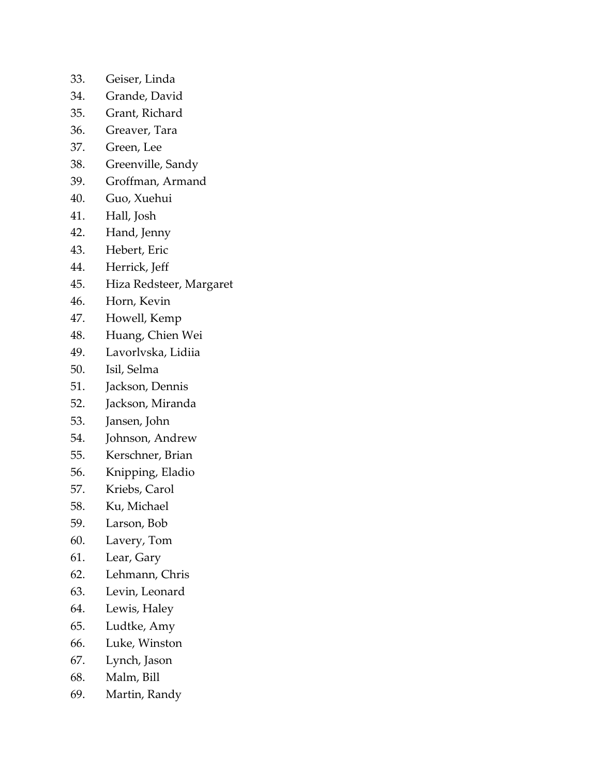- 33. Geiser, Linda
- 34. Grande, David
- 35. Grant, Richard
- 36. Greaver, Tara
- 37. Green, Lee
- 38. Greenville, Sandy
- 39. Groffman, Armand
- 40. Guo, Xuehui
- 41. Hall, Josh
- 42. Hand, Jenny
- 43. Hebert, Eric
- 44. Herrick, Jeff
- 45. Hiza Redsteer, Margaret
- 46. Horn, Kevin
- 47. Howell, Kemp
- 48. Huang, Chien Wei
- 49. Lavorlvska, Lidiia
- 50. Isil, Selma
- 51. Jackson, Dennis
- 52. Jackson, Miranda
- 53. Jansen, John
- 54. Johnson, Andrew
- 55. Kerschner, Brian
- 56. Knipping, Eladio
- 57. Kriebs, Carol
- 58. Ku, Michael
- 59. Larson, Bob
- 60. Lavery, Tom
- 61. Lear, Gary
- 62. Lehmann, Chris
- 63. Levin, Leonard
- 64. Lewis, Haley
- 65. Ludtke, Amy
- 66. Luke, Winston
- 67. Lynch, Jason
- 68. Malm, Bill
- 69. Martin, Randy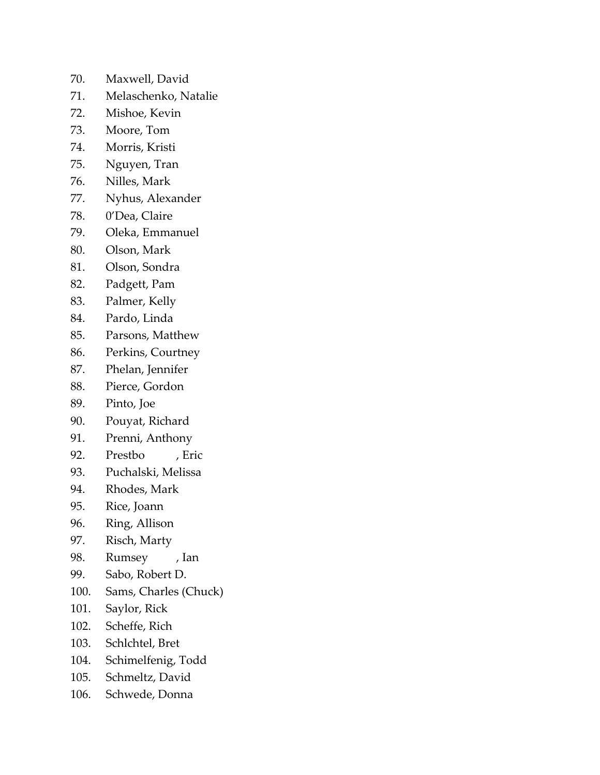- 70. Maxwell, David
- 71. Melaschenko, Natalie
- 72. Mishoe, Kevin
- 73. Moore, Tom
- 74. Morris, Kristi
- 75. Nguyen, Tran
- 76. Nilles, Mark
- 77. Nyhus, Alexander
- 78. 0'Dea, Claire
- 79. Oleka, Emmanuel
- 80. Olson, Mark
- 81. Olson, Sondra
- 82. Padgett, Pam
- 83. Palmer, Kelly
- 84. Pardo, Linda
- 85. Parsons, Matthew
- 86. Perkins, Courtney
- 87. Phelan, Jennifer
- 88. Pierce, Gordon
- 89. Pinto, Joe
- 90. Pouyat, Richard
- 91. Prenni, Anthony
- 92. Prestbo , Eric
- 93. Puchalski, Melissa
- 94. Rhodes, Mark
- 95. Rice, Joann
- 96. Ring, Allison
- 97. Risch, Marty
- 98. Rumsey , Ian
- 99. Sabo, Robert D.
- 100. Sams, Charles (Chuck)
- 101. Saylor, Rick
- 102. Scheffe, Rich
- 103. Schlchtel, Bret
- 104. Schimelfenig, Todd
- 105. Schmeltz, David
- 106. Schwede, Donna